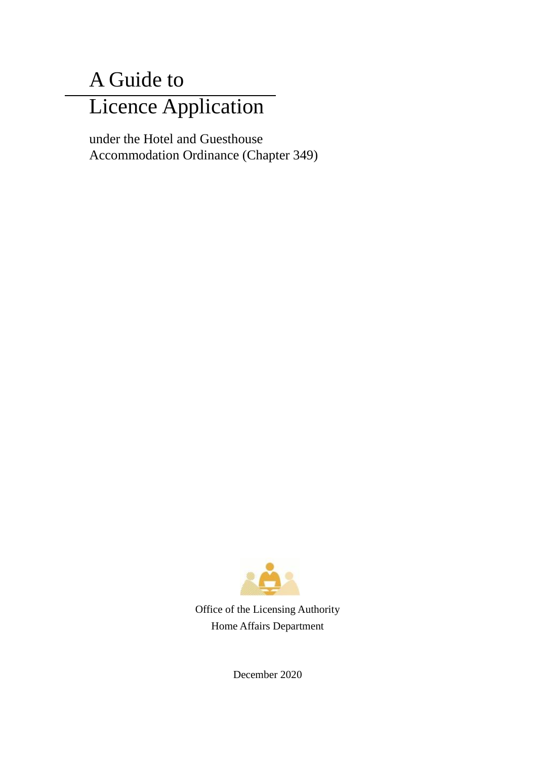# A Guide to Licence Application

under the Hotel and Guesthouse Accommodation Ordinance (Chapter 349)



 Office of the Licensing Authority Home Affairs Department

December 2020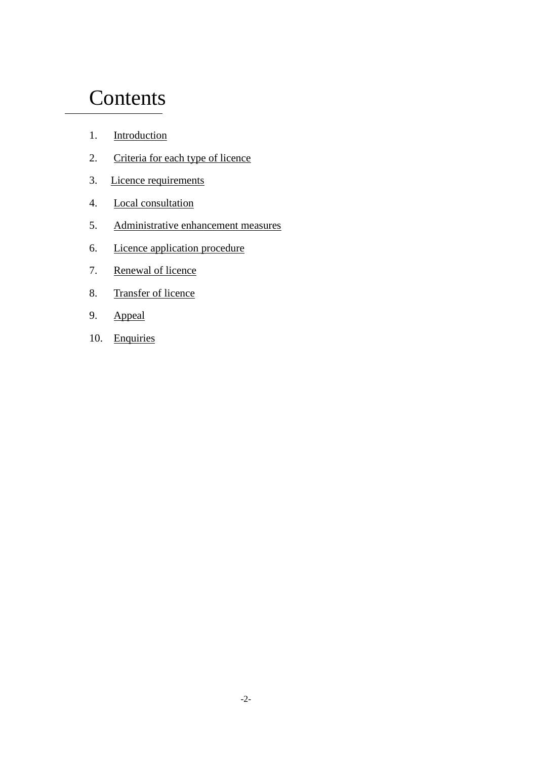# **Contents**

- 1. Introduction
- 2. Criteria for each type of licence
- 3. Licence requirements
- 4. Local consultation
- 5. Administrative enhancement measures
- 6. Licence application procedure
- 7. Renewal of licence
- 8. Transfer of licence
- 9. Appeal
- 10. Enquiries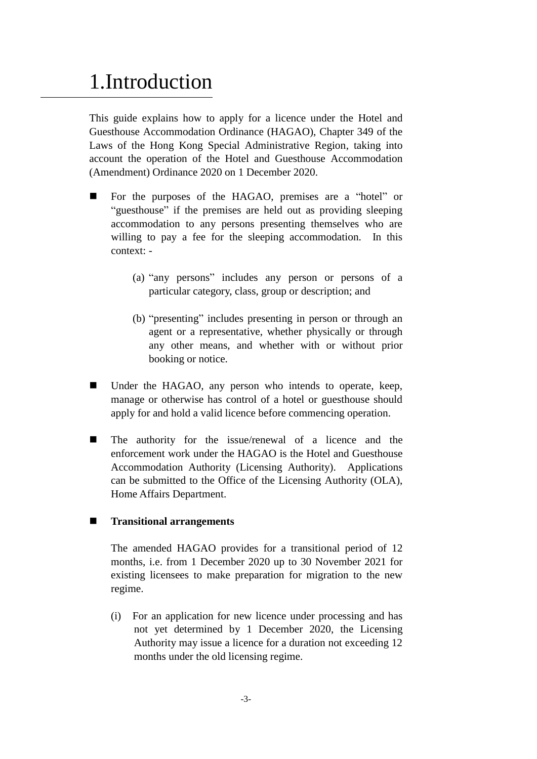# 1.Introduction

This guide explains how to apply for a licence under the Hotel and Guesthouse Accommodation Ordinance (HAGAO), Chapter 349 of the Laws of the Hong Kong Special Administrative Region, taking into account the operation of the Hotel and Guesthouse Accommodation (Amendment) Ordinance 2020 on 1 December 2020.

- For the purposes of the HAGAO, premises are a "hotel" or "guesthouse" if the premises are held out as providing sleeping accommodation to any persons presenting themselves who are willing to pay a fee for the sleeping accommodation. In this context: -
	- (a) "any persons" includes any person or persons of a particular category, class, group or description; and
	- (b) "presenting" includes presenting in person or through an agent or a representative, whether physically or through any other means, and whether with or without prior booking or notice.
- Under the HAGAO, any person who intends to operate, keep, manage or otherwise has control of a hotel or guesthouse should apply for and hold a valid licence before commencing operation.
- The authority for the issue/renewal of a licence and the enforcement work under the HAGAO is the Hotel and Guesthouse Accommodation Authority (Licensing Authority). Applications can be submitted to the Office of the Licensing Authority (OLA), Home Affairs Department.

### **Transitional arrangements**

The amended HAGAO provides for a transitional period of 12 months, i.e. from 1 December 2020 up to 30 November 2021 for existing licensees to make preparation for migration to the new regime.

(i) For an application for new licence under processing and has not yet determined by 1 December 2020, the Licensing Authority may issue a licence for a duration not exceeding 12 months under the old licensing regime.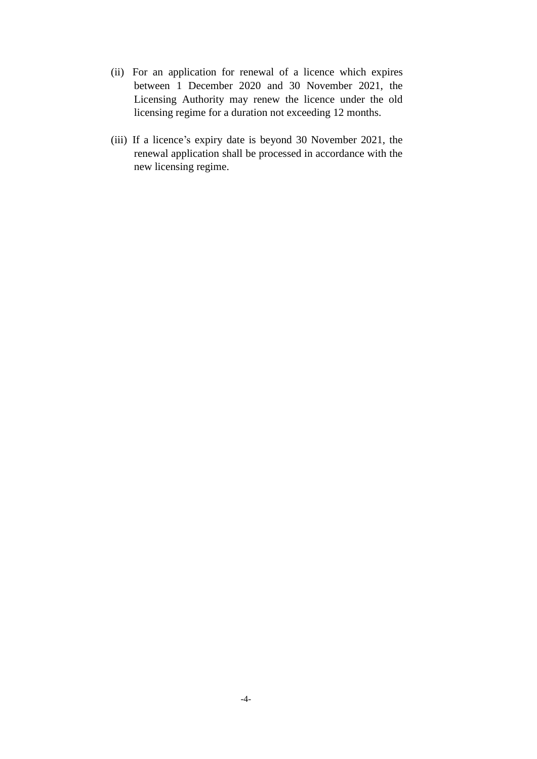- (ii) For an application for renewal of a licence which expires between 1 December 2020 and 30 November 2021, the Licensing Authority may renew the licence under the old licensing regime for a duration not exceeding 12 months.
- (iii) If a licence's expiry date is beyond 30 November 2021, the renewal application shall be processed in accordance with the new licensing regime.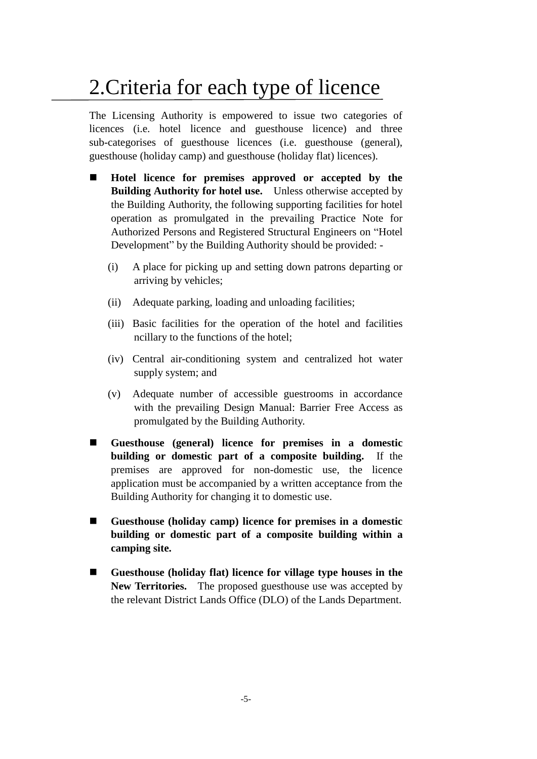# 2.Criteria for each type of licence

The Licensing Authority is empowered to issue two categories of licences (i.e. hotel licence and guesthouse licence) and three sub-categorises of guesthouse licences (i.e. guesthouse (general), guesthouse (holiday camp) and guesthouse (holiday flat) licences).

- **Hotel licence for premises approved or accepted by the Building Authority for hotel use.** Unless otherwise accepted by the Building Authority, the following supporting facilities for hotel operation as promulgated in the prevailing Practice Note for Authorized Persons and Registered Structural Engineers on "Hotel Development" by the Building Authority should be provided: -
	- (i) A place for picking up and setting down patrons departing or arriving by vehicles;
	- (ii) Adequate parking, loading and unloading facilities;
	- (iii) Basic facilities for the operation of the hotel and facilities ncillary to the functions of the hotel;
	- (iv) Central air-conditioning system and centralized hot water supply system; and
	- (v) Adequate number of accessible guestrooms in accordance with the prevailing Design Manual: Barrier Free Access as promulgated by the Building Authority.
- **Guesthouse (general) licence for premises in a domestic building or domestic part of a composite building.** If the premises are approved for non-domestic use, the licence application must be accompanied by a written acceptance from the Building Authority for changing it to domestic use.
- **Guesthouse (holiday camp) licence for premises in a domestic building or domestic part of a composite building within a camping site.**
- **Guesthouse (holiday flat) licence for village type houses in the New Territories.** The proposed guesthouse use was accepted by the relevant District Lands Office (DLO) of the Lands Department.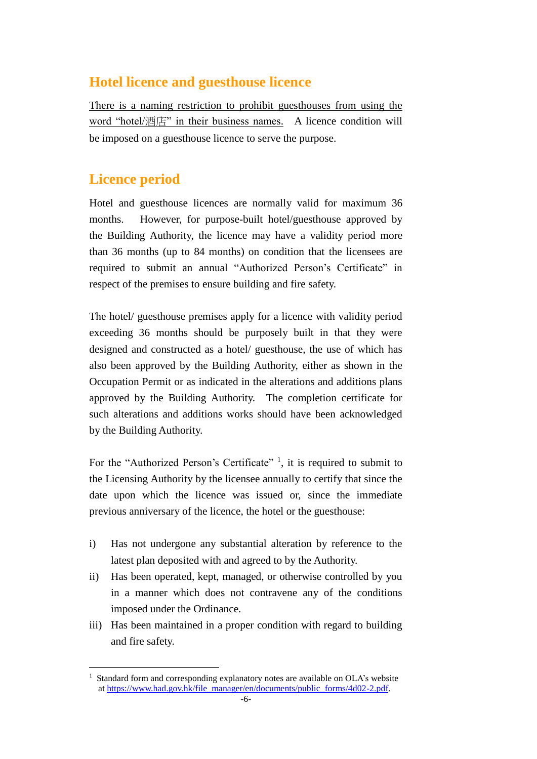## **Hotel licence and guesthouse licence**

There is a naming restriction to prohibit guesthouses from using the word "hotel/酒店" in their business names. A licence condition will be imposed on a guesthouse licence to serve the purpose.

## **Licence period**

1

Hotel and guesthouse licences are normally valid for maximum 36 months. However, for purpose-built hotel/guesthouse approved by the Building Authority, the licence may have a validity period more than 36 months (up to 84 months) on condition that the licensees are required to submit an annual "Authorized Person's Certificate" in respect of the premises to ensure building and fire safety.

The hotel/ guesthouse premises apply for a licence with validity period exceeding 36 months should be purposely built in that they were designed and constructed as a hotel/ guesthouse, the use of which has also been approved by the Building Authority, either as shown in the Occupation Permit or as indicated in the alterations and additions plans approved by the Building Authority. The completion certificate for such alterations and additions works should have been acknowledged by the Building Authority.

For the "Authorized Person's Certificate"<sup>1</sup>, it is required to submit to the Licensing Authority by the licensee annually to certify that since the date upon which the licence was issued or, since the immediate previous anniversary of the licence, the hotel or the guesthouse:

- i) Has not undergone any substantial alteration by reference to the latest plan deposited with and agreed to by the Authority.
- ii) Has been operated, kept, managed, or otherwise controlled by you in a manner which does not contravene any of the conditions imposed under the Ordinance.
- iii) Has been maintained in a proper condition with regard to building and fire safety.

<sup>&</sup>lt;sup>1</sup> Standard form and corresponding explanatory notes are available on OLA's website at https://www.had.gov.hk/file\_manager/en/documents/public\_forms/4d02-2.pdf.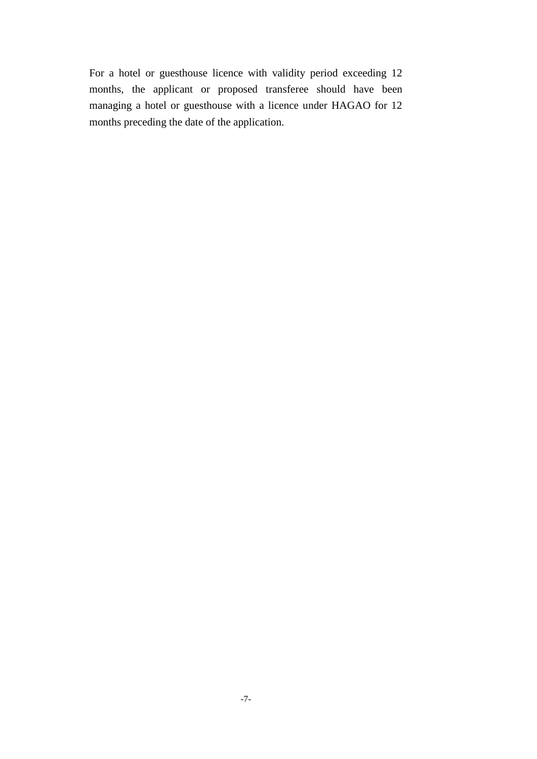For a hotel or guesthouse licence with validity period exceeding 12 months, the applicant or proposed transferee should have been managing a hotel or guesthouse with a licence under HAGAO for 12 months preceding the date of the application.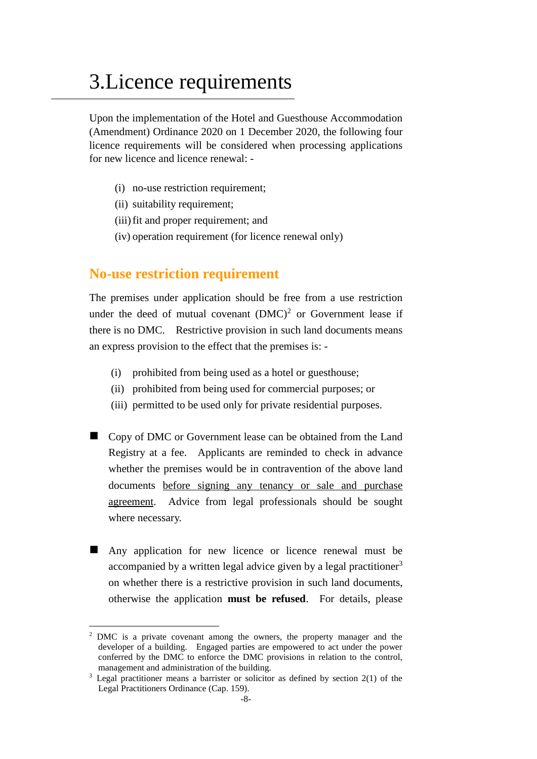# 3.Licence requirements

Upon the implementation of the Hotel and Guesthouse Accommodation (Amendment) Ordinance 2020 on 1 December 2020, the following four licence requirements will be considered when processing applications for new licence and licence renewal: -

- (i) no-use restriction requirement;
- (ii) suitability requirement:
- (iii) fit and proper requirement; and
- (iv) operation requirement (for licence renewal only)

### **No-use restriction requirement**

The premises under application should be free from a use restriction under the deed of mutual covenant  $(DMC)^2$  or Government lease if there is no DMC. Restrictive provision in such land documents means an express provision to the effect that the premises is: -

- (i) prohibited from being used as a hotel or guesthouse;
- (ii) prohibited from being used for commercial purposes; or
- (iii) permitted to be used only for private residential purposes.
- Copy of DMC or Government lease can be obtained from the Land Registry at a fee. Applicants are reminded to check in advance whether the premises would be in contravention of the above land documents before signing any tenancy or sale and purchase agreement. Advice from legal professionals should be sought where necessary.
- Any application for new licence or licence renewal must be accompanied by a written legal advice given by a legal practitioner<sup>3</sup> on whether there is a restrictive provision in such land documents, otherwise the application **must be refused**. For details, please

<u>.</u>

<sup>&</sup>lt;sup>2</sup> DMC is a private covenant among the owners, the property manager and the developer of a building. Engaged parties are empowered to act under the power conferred by the DMC to enforce the DMC provisions in relation to the control, management and administration of the building.

 $3$  Legal practitioner means a barrister or solicitor as defined by section  $2(1)$  of the Legal Practitioners Ordinance (Cap. 159).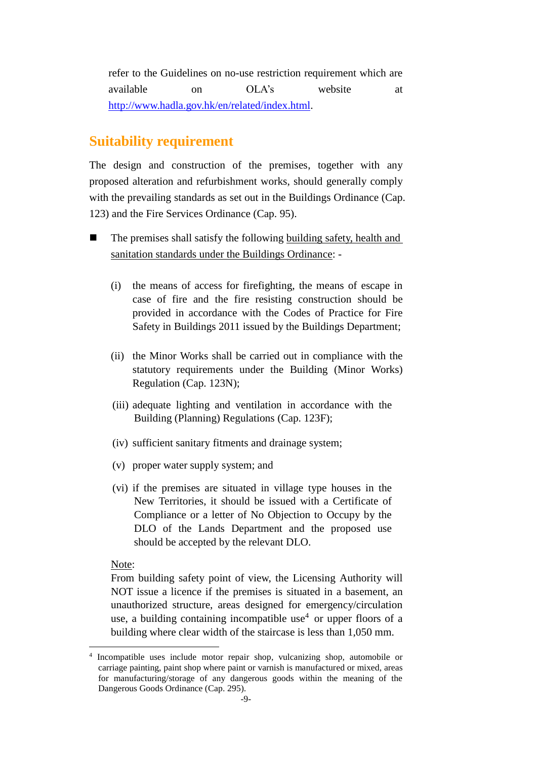refer to the Guidelines on no-use restriction requirement which are available on OLA's website at http://www.hadla.gov.hk/en/related/index.html.

## **Suitability requirement**

The design and construction of the premises, together with any proposed alteration and refurbishment works, should generally comply with the prevailing standards as set out in the Buildings Ordinance (Cap. 123) and the Fire Services Ordinance (Cap. 95).

- The premises shall satisfy the following building safety, health and sanitation standards under the Buildings Ordinance: -
	- (i) the means of access for firefighting, the means of escape in case of fire and the fire resisting construction should be provided in accordance with the Codes of Practice for Fire Safety in Buildings 2011 issued by the Buildings Department;
	- (ii) the Minor Works shall be carried out in compliance with the statutory requirements under the Building (Minor Works) Regulation (Cap. 123N);
	- (iii) adequate lighting and ventilation in accordance with the Building (Planning) Regulations (Cap. 123F);
	- (iv) sufficient sanitary fitments and drainage system;
	- (v) proper water supply system; and
	- (vi) if the premises are situated in village type houses in the New Territories, it should be issued with a Certificate of Compliance or a letter of No Objection to Occupy by the DLO of the Lands Department and the proposed use should be accepted by the relevant DLO.

Note:

1

From building safety point of view, the Licensing Authority will NOT issue a licence if the premises is situated in a basement, an unauthorized structure, areas designed for emergency/circulation use, a building containing incompatible use<sup>4</sup> or upper floors of a building where clear width of the staircase is less than 1,050 mm.

<sup>4</sup> Incompatible uses include motor repair shop, vulcanizing shop, automobile or carriage painting, paint shop where paint or varnish is manufactured or mixed, areas for manufacturing/storage of any dangerous goods within the meaning of the Dangerous Goods Ordinance (Cap. 295).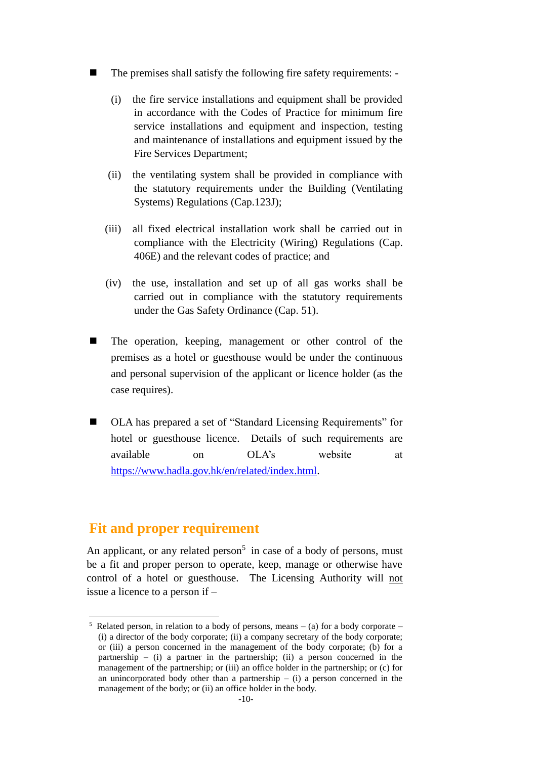- The premises shall satisfy the following fire safety requirements:
	- (i) the fire service installations and equipment shall be provided in accordance with the Codes of Practice for minimum fire service installations and equipment and inspection, testing and maintenance of installations and equipment issued by the Fire Services Department;
	- (ii) the ventilating system shall be provided in compliance with the statutory requirements under the Building (Ventilating Systems) Regulations (Cap.123J);
	- (iii) all fixed electrical installation work shall be carried out in compliance with the Electricity (Wiring) Regulations (Cap. 406E) and the relevant codes of practice; and
	- (iv) the use, installation and set up of all gas works shall be carried out in compliance with the statutory requirements under the Gas Safety Ordinance (Cap. 51).
- The operation, keeping, management or other control of the premises as a hotel or guesthouse would be under the continuous and personal supervision of the applicant or licence holder (as the case requires).
- OLA has prepared a set of "Standard Licensing Requirements" for hotel or guesthouse licence. Details of such requirements are available on OLA's website at https://www.hadla.gov.hk/en/related/index.html.

## **Fit and proper requirement**

1

An applicant, or any related person<sup>5</sup> in case of a body of persons, must be a fit and proper person to operate, keep, manage or otherwise have control of a hotel or guesthouse. The Licensing Authority will not issue a licence to a person if –

Related person, in relation to a body of persons, means  $-$  (a) for a body corporate  $-$ (i) a director of the body corporate; (ii) a company secretary of the body corporate; or (iii) a person concerned in the management of the body corporate; (b) for a partnership  $-$  (i) a partner in the partnership; (ii) a person concerned in the management of the partnership; or (iii) an office holder in the partnership; or (c) for an unincorporated body other than a partnership  $-$  (i) a person concerned in the management of the body; or (ii) an office holder in the body.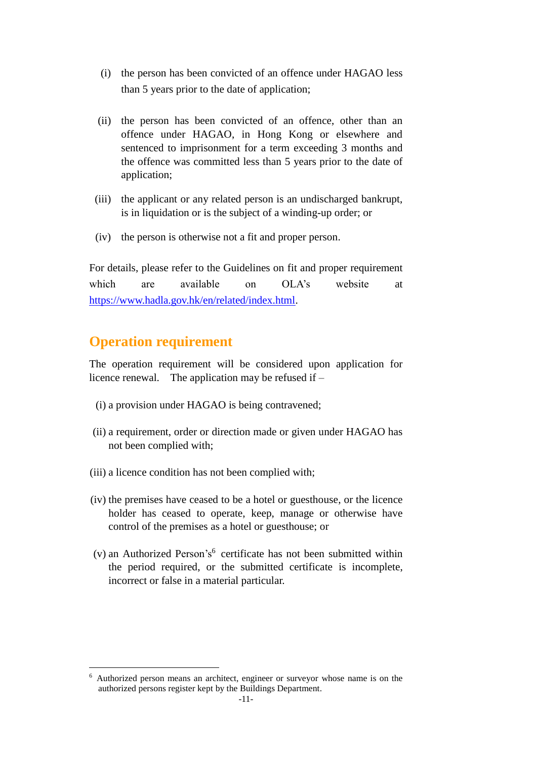- (i) the person has been convicted of an offence under HAGAO less than 5 years prior to the date of application;
- (ii) the person has been convicted of an offence, other than an offence under HAGAO, in Hong Kong or elsewhere and sentenced to imprisonment for a term exceeding 3 months and the offence was committed less than 5 years prior to the date of application;
- (iii) the applicant or any related person is an undischarged bankrupt, is in liquidation or is the subject of a winding-up order; or
- (iv) the person is otherwise not a fit and proper person.

For details, please refer to the Guidelines on fit and proper requirement which are available on OLA's website at https://www.hadla.gov.hk/en/related/index.html.

## **Operation requirement**

The operation requirement will be considered upon application for licence renewal. The application may be refused if –

- (i) a provision under HAGAO is being contravened;
- (ii) a requirement, order or direction made or given under HAGAO has not been complied with;
- (iii) a licence condition has not been complied with;
- (iv) the premises have ceased to be a hotel or guesthouse, or the licence holder has ceased to operate, keep, manage or otherwise have control of the premises as a hotel or guesthouse; or
- $(v)$  an Authorized Person's<sup>6</sup> certificate has not been submitted within the period required, or the submitted certificate is incomplete, incorrect or false in a material particular.

<sup>1</sup> <sup>6</sup> Authorized person means an architect, engineer or surveyor whose name is on the authorized persons register kept by the Buildings Department.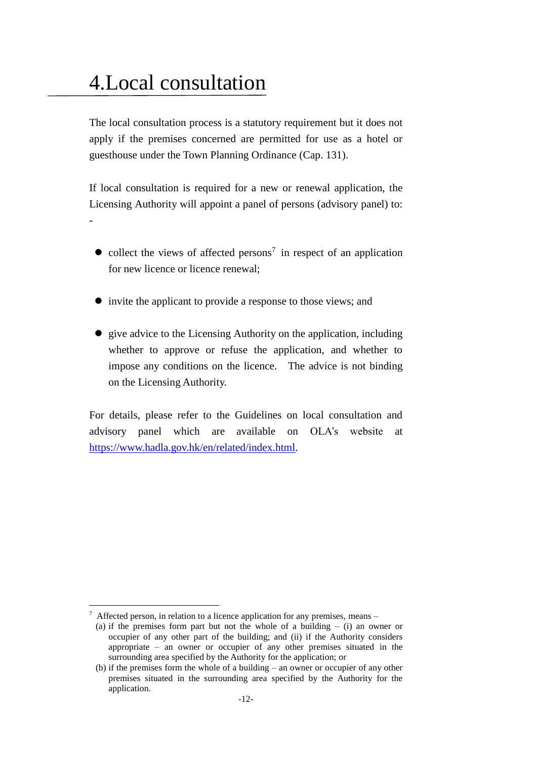# 4.Local consultation

The local consultation process is a statutory requirement but it does not apply if the premises concerned are permitted for use as a hotel or guesthouse under the Town Planning Ordinance (Cap. 131).

If local consultation is required for a new or renewal application, the Licensing Authority will appoint a panel of persons (advisory panel) to: -

- $\bullet$  collect the views of affected persons<sup>7</sup> in respect of an application for new licence or licence renewal;
- invite the applicant to provide a response to those views; and
- give advice to the Licensing Authority on the application, including whether to approve or refuse the application, and whether to impose any conditions on the licence. The advice is not binding on the Licensing Authority.

For details, please refer to the Guidelines on local consultation and advisory panel which are available on OLA's website at https://www.hadla.gov.hk/en/related/index.html.

1

 $7$  Affected person, in relation to a licence application for any premises, means –

<sup>(</sup>a) if the premises form part but not the whole of a building  $-$  (i) an owner or occupier of any other part of the building; and (ii) if the Authority considers appropriate – an owner or occupier of any other premises situated in the surrounding area specified by the Authority for the application; or

<sup>(</sup>b) if the premises form the whole of a building – an owner or occupier of any other premises situated in the surrounding area specified by the Authority for the application.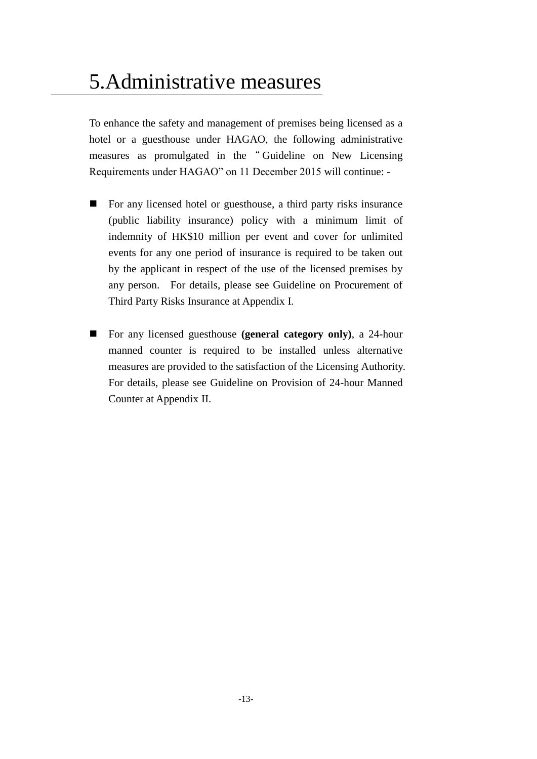# 5.Administrative measures

To enhance the safety and management of premises being licensed as a hotel or a guesthouse under HAGAO, the following administrative measures as promulgated in the " Guideline on New Licensing Requirements under HAGAO" on 11 December 2015 will continue: -

- For any licensed hotel or guesthouse, a third party risks insurance (public liability insurance) policy with a minimum limit of indemnity of HK\$10 million per event and cover for unlimited events for any one period of insurance is required to be taken out by the applicant in respect of the use of the licensed premises by any person. For details, please see Guideline on Procurement of Third Party Risks Insurance at Appendix I.
- For any licensed guesthouse **(general category only)**, a 24-hour manned counter is required to be installed unless alternative measures are provided to the satisfaction of the Licensing Authority. For details, please see Guideline on Provision of 24-hour Manned Counter at Appendix II.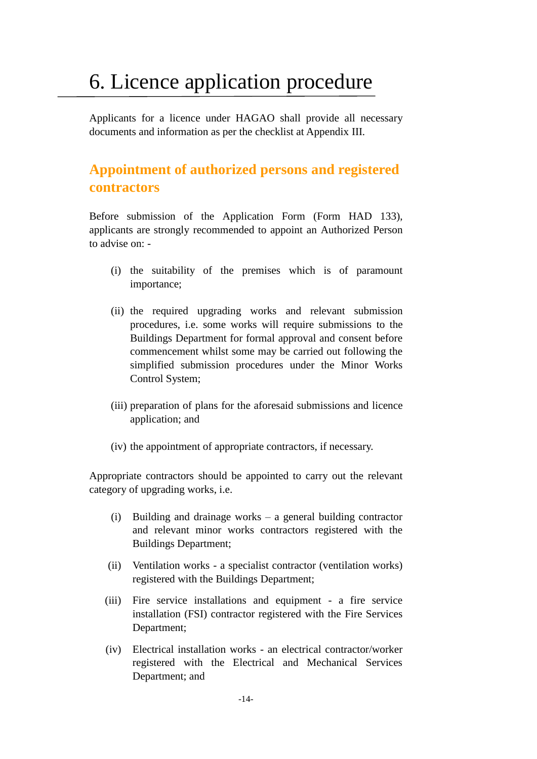# 6. Licence application procedure

Applicants for a licence under HAGAO shall provide all necessary documents and information as per the checklist at Appendix III.

## **Appointment of authorized persons and registered contractors**

Before submission of the Application Form (Form HAD 133), applicants are strongly recommended to appoint an Authorized Person to advise on: -

- (i) the suitability of the premises which is of paramount importance;
- (ii) the required upgrading works and relevant submission procedures, i.e. some works will require submissions to the Buildings Department for formal approval and consent before commencement whilst some may be carried out following the simplified submission procedures under the Minor Works Control System;
- (iii) preparation of plans for the aforesaid submissions and licence application; and
- (iv) the appointment of appropriate contractors, if necessary.

Appropriate contractors should be appointed to carry out the relevant category of upgrading works, i.e.

- (i) Building and drainage works a general building contractor and relevant minor works contractors registered with the Buildings Department;
- (ii) Ventilation works a specialist contractor (ventilation works) registered with the Buildings Department;
- (iii) Fire service installations and equipment a fire service installation (FSI) contractor registered with the Fire Services Department;
- (iv) Electrical installation works an electrical contractor/worker registered with the Electrical and Mechanical Services Department; and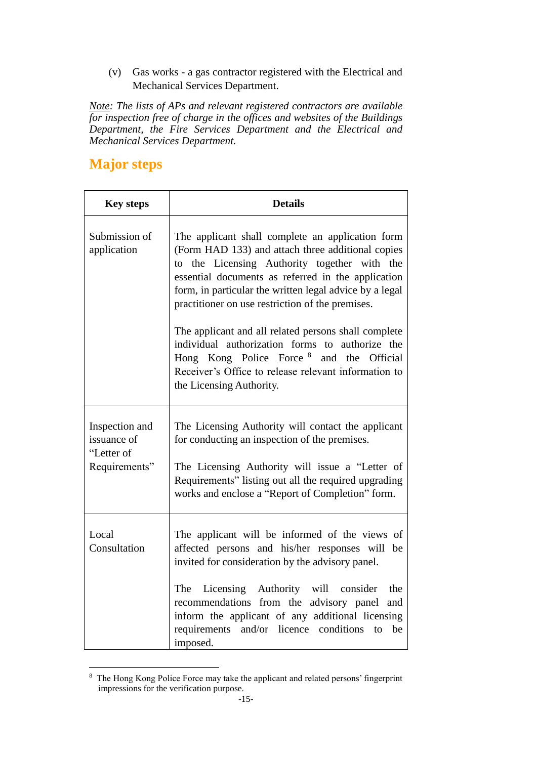(v) Gas works - a gas contractor registered with the Electrical and Mechanical Services Department.

*Note: The lists of APs and relevant registered contractors are available for inspection free of charge in the offices and websites of the Buildings Department, the Fire Services Department and the Electrical and Mechanical Services Department.*

## **Major steps**

| <b>Key steps</b>                                             | <b>Details</b>                                                                                                                                                                                                                                                                                                                                                                                                                                                                                                                                                                       |
|--------------------------------------------------------------|--------------------------------------------------------------------------------------------------------------------------------------------------------------------------------------------------------------------------------------------------------------------------------------------------------------------------------------------------------------------------------------------------------------------------------------------------------------------------------------------------------------------------------------------------------------------------------------|
| Submission of<br>application                                 | The applicant shall complete an application form<br>(Form HAD 133) and attach three additional copies<br>to the Licensing Authority together with the<br>essential documents as referred in the application<br>form, in particular the written legal advice by a legal<br>practitioner on use restriction of the premises.<br>The applicant and all related persons shall complete<br>individual authorization forms to authorize the<br>Hong Kong Police Force <sup>8</sup> and the<br>Official<br>Receiver's Office to release relevant information to<br>the Licensing Authority. |
| Inspection and<br>issuance of<br>"Letter of<br>Requirements" | The Licensing Authority will contact the applicant<br>for conducting an inspection of the premises.<br>The Licensing Authority will issue a "Letter of<br>Requirements" listing out all the required upgrading<br>works and enclose a "Report of Completion" form.                                                                                                                                                                                                                                                                                                                   |
| Local<br>Consultation                                        | The applicant will be informed of the views of<br>affected persons and his/her responses will be<br>invited for consideration by the advisory panel.<br>The<br>Licensing Authority will consider<br>the<br>recommendations from the advisory panel<br>and<br>inform the applicant of any additional licensing<br>requirements and/or licence conditions<br>to<br>be<br>imposed.                                                                                                                                                                                                      |

<sup>1</sup> <sup>8</sup> The Hong Kong Police Force may take the applicant and related persons' fingerprint impressions for the verification purpose.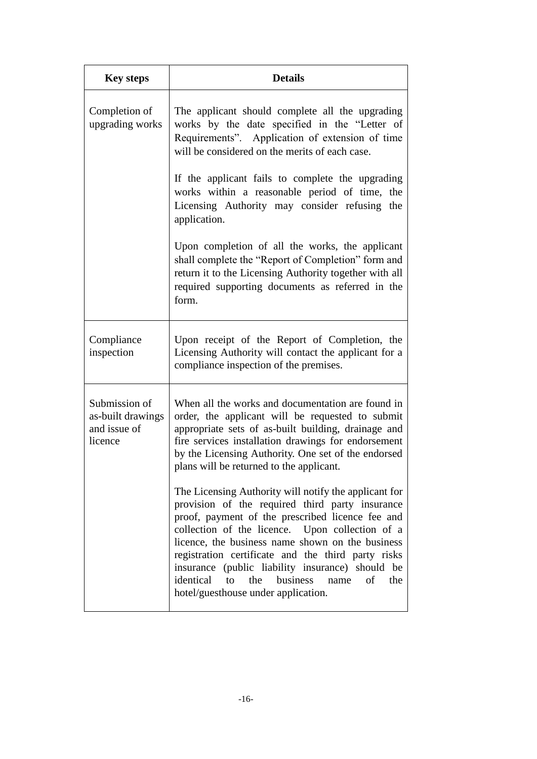| <b>Key steps</b>                                              | <b>Details</b>                                                                                                                                                                                                                                                                                                                                                                                                                                                                  |
|---------------------------------------------------------------|---------------------------------------------------------------------------------------------------------------------------------------------------------------------------------------------------------------------------------------------------------------------------------------------------------------------------------------------------------------------------------------------------------------------------------------------------------------------------------|
| Completion of<br>upgrading works                              | The applicant should complete all the upgrading<br>works by the date specified in the "Letter of<br>Requirements". Application of extension of time<br>will be considered on the merits of each case.                                                                                                                                                                                                                                                                           |
|                                                               | If the applicant fails to complete the upgrading<br>works within a reasonable period of time, the<br>Licensing Authority may consider refusing<br>the<br>application.                                                                                                                                                                                                                                                                                                           |
|                                                               | Upon completion of all the works, the applicant<br>shall complete the "Report of Completion" form and<br>return it to the Licensing Authority together with all<br>required supporting documents as referred in the<br>form.                                                                                                                                                                                                                                                    |
| Compliance<br>inspection                                      | Upon receipt of the Report of Completion, the<br>Licensing Authority will contact the applicant for a<br>compliance inspection of the premises.                                                                                                                                                                                                                                                                                                                                 |
| Submission of<br>as-built drawings<br>and issue of<br>licence | When all the works and documentation are found in<br>order, the applicant will be requested to submit<br>appropriate sets of as-built building, drainage and<br>fire services installation drawings for endorsement<br>by the Licensing Authority. One set of the endorsed<br>plans will be returned to the applicant.                                                                                                                                                          |
|                                                               | The Licensing Authority will notify the applicant for<br>provision of the required third party insurance<br>proof, payment of the prescribed licence fee and<br>collection of the licence. Upon collection of a<br>licence, the business name shown on the business<br>registration certificate and the third party risks<br>insurance (public liability insurance) should be<br>identical<br>the<br>business<br>to<br>of<br>name<br>the<br>hotel/guesthouse under application. |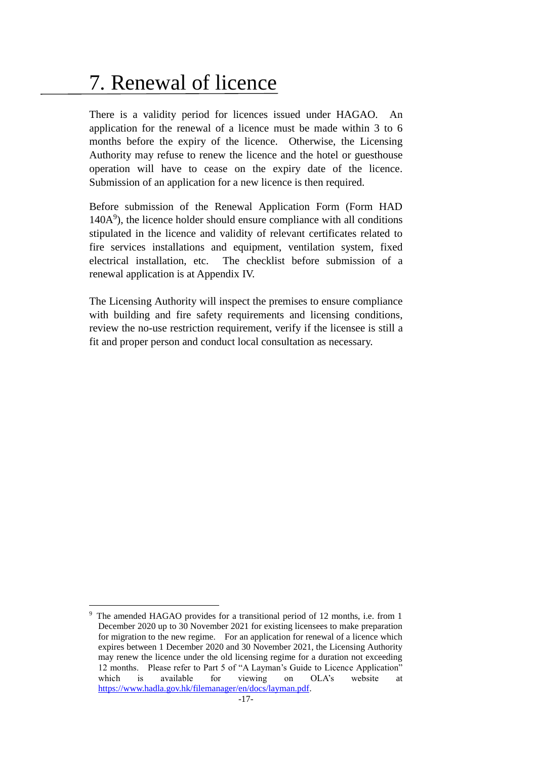# 7. Renewal of licence

There is a validity period for licences issued under HAGAO. An application for the renewal of a licence must be made within 3 to 6 months before the expiry of the licence. Otherwise, the Licensing Authority may refuse to renew the licence and the hotel or guesthouse operation will have to cease on the expiry date of the licence. Submission of an application for a new licence is then required.

Before submission of the Renewal Application Form (Form HAD 140A 9 ), the licence holder should ensure compliance with all conditions stipulated in the licence and validity of relevant certificates related to fire services installations and equipment, ventilation system, fixed electrical installation, etc. The checklist before submission of a renewal application is at Appendix IV.

The Licensing Authority will inspect the premises to ensure compliance with building and fire safety requirements and licensing conditions, review the no-use restriction requirement, verify if the licensee is still a fit and proper person and conduct local consultation as necessary.

<sup>1</sup> The amended HAGAO provides for a transitional period of 12 months, i.e. from 1 December 2020 up to 30 November 2021 for existing licensees to make preparation for migration to the new regime. For an application for renewal of a licence which expires between 1 December 2020 and 30 November 2021, the Licensing Authority may renew the licence under the old licensing regime for a duration not exceeding 12 months. Please refer to Part 5 of "A Layman's Guide to Licence Application" which is available for viewing on OLA's website at https://www.hadla.gov.hk/filemanager/en/docs/layman.pdf.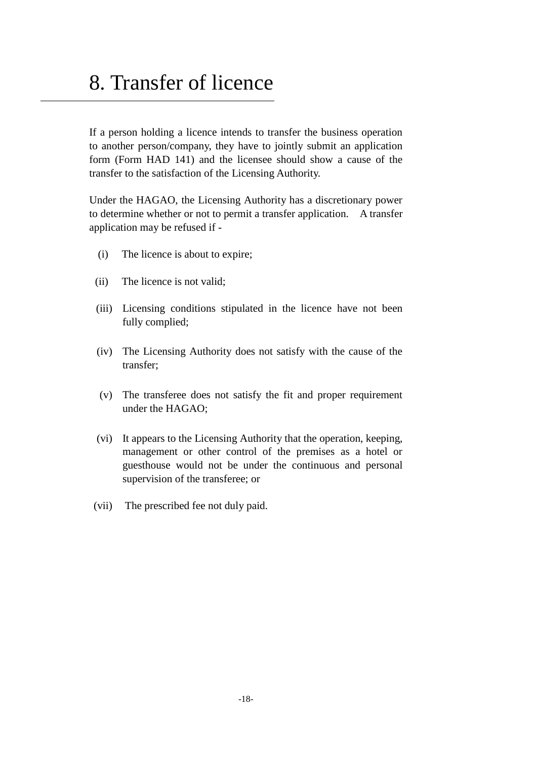## 8. Transfer of licence

If a person holding a licence intends to transfer the business operation to another person/company, they have to jointly submit an application form (Form HAD 141) and the licensee should show a cause of the transfer to the satisfaction of the Licensing Authority.

Under the HAGAO, the Licensing Authority has a discretionary power to determine whether or not to permit a transfer application. A transfer application may be refused if -

- (i) The licence is about to expire;
- (ii) The licence is not valid;
- (iii) Licensing conditions stipulated in the licence have not been fully complied;
- (iv) The Licensing Authority does not satisfy with the cause of the transfer;
- (v) The transferee does not satisfy the fit and proper requirement under the HAGAO;
- (vi) It appears to the Licensing Authority that the operation, keeping, management or other control of the premises as a hotel or guesthouse would not be under the continuous and personal supervision of the transferee; or
- (vii) The prescribed fee not duly paid.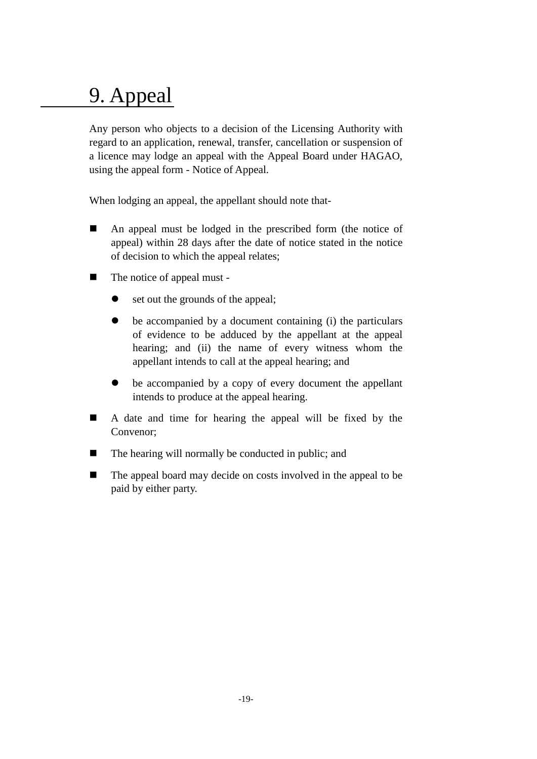# 9. Appeal

Any person who objects to a decision of the Licensing Authority with regard to an application, renewal, transfer, cancellation or suspension of a licence may lodge an appeal with the Appeal Board under HAGAO, using the appeal form - Notice of Appeal.

When lodging an appeal, the appellant should note that-

- An appeal must be lodged in the prescribed form (the notice of appeal) within 28 days after the date of notice stated in the notice of decision to which the appeal relates;
- The notice of appeal must
	- set out the grounds of the appeal;
	- be accompanied by a document containing (i) the particulars of evidence to be adduced by the appellant at the appeal hearing; and (ii) the name of every witness whom the appellant intends to call at the appeal hearing; and
	- be accompanied by a copy of every document the appellant intends to produce at the appeal hearing.
- A date and time for hearing the appeal will be fixed by the Convenor;
- The hearing will normally be conducted in public; and
- The appeal board may decide on costs involved in the appeal to be paid by either party.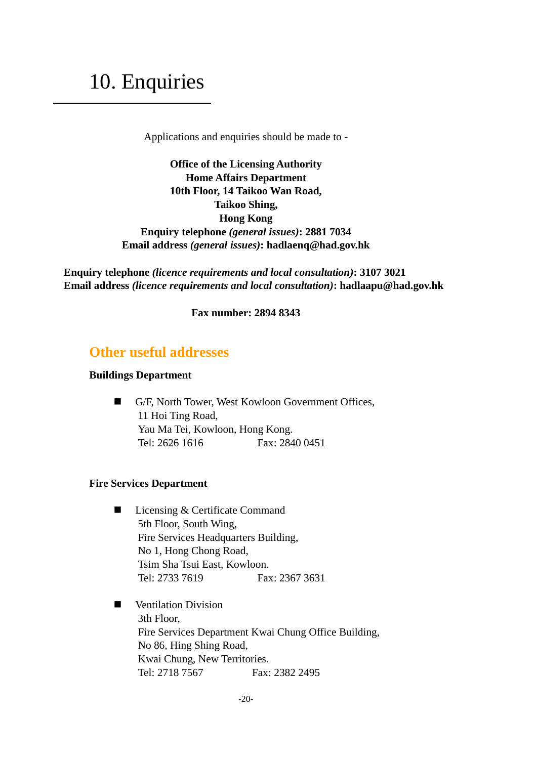# 10. Enquiries

Applications and enquiries should be made to -

**Office of the Licensing Authority Home Affairs Department 10th Floor, 14 Taikoo Wan Road, Taikoo Shing, Hong Kong Enquiry telephone** *(general issues)***: 2881 7034 Email address** *(general issues)***: hadlaenq@had.gov.hk**

**Enquiry telephone** *(licence requirements and local consultation)***: 3107 3021 Email address** *(licence requirements and local consultation)***: hadlaapu@had.gov.hk**

**Fax number: 2894 8343**

## **Other useful addresses**

### **Buildings Department**

■ G/F, North Tower, West Kowloon Government Offices, 11 Hoi Ting Road, Yau Ma Tei, Kowloon, Hong Kong. Tel: 2626 1616 Fax: 2840 0451

### **Fire Services Department**

- Licensing & Certificate Command 5th Floor, South Wing, Fire Services Headquarters Building, No 1, Hong Chong Road, Tsim Sha Tsui East, Kowloon. Tel: 2733 7619 Fax: 2367 3631
- **Nentilation Division** 3th Floor, Fire Services Department Kwai Chung Office Building, No 86, Hing Shing Road, Kwai Chung, New Territories. Tel: 2718 7567 Fax: 2382 2495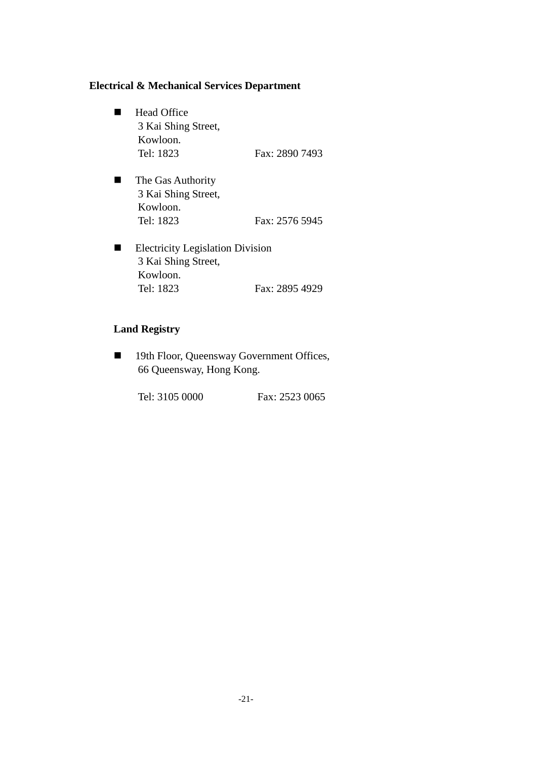### **Electrical & Mechanical Services Department**

- Head Office 3 Kai Shing Street, Kowloon. Tel: 1823 **Fax: 2890 7493**
- **The Gas Authority** 3 Kai Shing Street, Kowloon. Tel: 1823 **Fax: 2576 5945**
- **Electricity Legislation Division** 3 Kai Shing Street, Kowloon. Tel: 1823 **Fax: 2895 4929**

### **Land Registry**

■ 19th Floor, Queensway Government Offices, 66 Queensway, Hong Kong.

Tel: 3105 0000 Fax: 2523 0065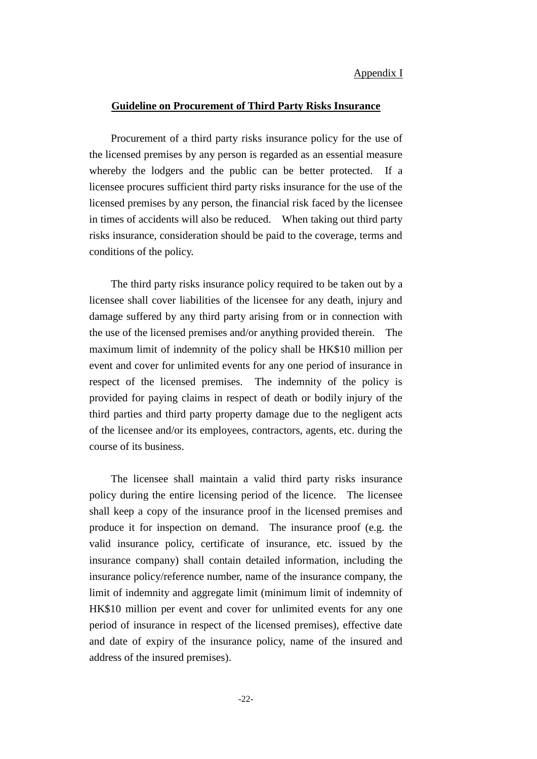### Appendix I

### **Guideline on Procurement of Third Party Risks Insurance**

Procurement of a third party risks insurance policy for the use of the licensed premises by any person is regarded as an essential measure whereby the lodgers and the public can be better protected. If a licensee procures sufficient third party risks insurance for the use of the licensed premises by any person, the financial risk faced by the licensee in times of accidents will also be reduced. When taking out third party risks insurance, consideration should be paid to the coverage, terms and conditions of the policy.

The third party risks insurance policy required to be taken out by a licensee shall cover liabilities of the licensee for any death, injury and damage suffered by any third party arising from or in connection with the use of the licensed premises and/or anything provided therein. The maximum limit of indemnity of the policy shall be HK\$10 million per event and cover for unlimited events for any one period of insurance in respect of the licensed premises. The indemnity of the policy is provided for paying claims in respect of death or bodily injury of the third parties and third party property damage due to the negligent acts of the licensee and/or its employees, contractors, agents, etc. during the course of its business.

The licensee shall maintain a valid third party risks insurance policy during the entire licensing period of the licence. The licensee shall keep a copy of the insurance proof in the licensed premises and produce it for inspection on demand. The insurance proof (e.g. the valid insurance policy, certificate of insurance, etc. issued by the insurance company) shall contain detailed information, including the insurance policy/reference number, name of the insurance company, the limit of indemnity and aggregate limit (minimum limit of indemnity of HK\$10 million per event and cover for unlimited events for any one period of insurance in respect of the licensed premises), effective date and date of expiry of the insurance policy, name of the insured and address of the insured premises).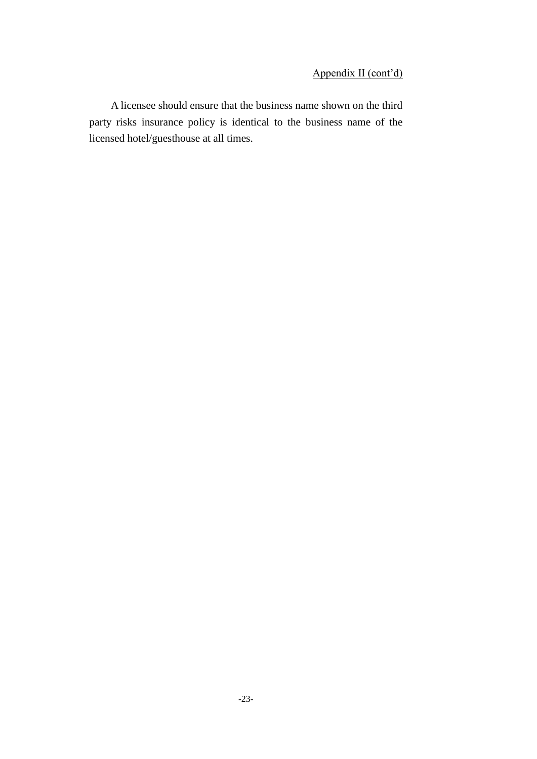## Appendix II (cont'd)

A licensee should ensure that the business name shown on the third party risks insurance policy is identical to the business name of the licensed hotel/guesthouse at all times.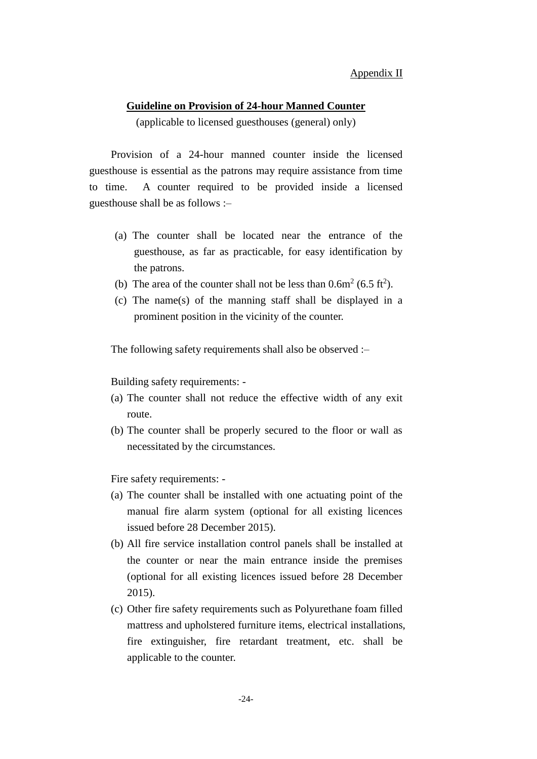### **Guideline on Provision of 24-hour Manned Counter**

(applicable to licensed guesthouses (general) only)

Provision of a 24-hour manned counter inside the licensed guesthouse is essential as the patrons may require assistance from time to time. A counter required to be provided inside a licensed guesthouse shall be as follows :–

- (a) The counter shall be located near the entrance of the guesthouse, as far as practicable, for easy identification by the patrons.
- (b) The area of the counter shall not be less than  $0.6m^2$  (6.5 ft<sup>2</sup>).
- (c) The name(s) of the manning staff shall be displayed in a prominent position in the vicinity of the counter.

The following safety requirements shall also be observed :–

Building safety requirements: -

- (a) The counter shall not reduce the effective width of any exit route.
- (b) The counter shall be properly secured to the floor or wall as necessitated by the circumstances.

Fire safety requirements: -

- (a) The counter shall be installed with one actuating point of the manual fire alarm system (optional for all existing licences issued before 28 December 2015).
- (b) All fire service installation control panels shall be installed at the counter or near the main entrance inside the premises (optional for all existing licences issued before 28 December 2015).
- (c) Other fire safety requirements such as Polyurethane foam filled mattress and upholstered furniture items, electrical installations, fire extinguisher, fire retardant treatment, etc. shall be applicable to the counter.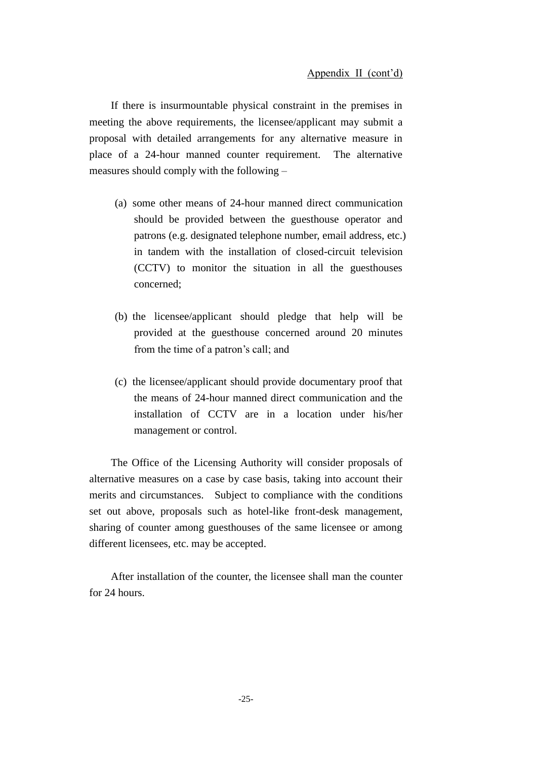If there is insurmountable physical constraint in the premises in meeting the above requirements, the licensee/applicant may submit a proposal with detailed arrangements for any alternative measure in place of a 24-hour manned counter requirement. The alternative measures should comply with the following –

- (a) some other means of 24-hour manned direct communication should be provided between the guesthouse operator and patrons (e.g. designated telephone number, email address, etc.) in tandem with the installation of closed-circuit television (CCTV) to monitor the situation in all the guesthouses concerned;
- (b) the licensee/applicant should pledge that help will be provided at the guesthouse concerned around 20 minutes from the time of a patron's call; and
- (c) the licensee/applicant should provide documentary proof that the means of 24-hour manned direct communication and the installation of CCTV are in a location under his/her management or control.

The Office of the Licensing Authority will consider proposals of alternative measures on a case by case basis, taking into account their merits and circumstances. Subject to compliance with the conditions set out above, proposals such as hotel-like front-desk management, sharing of counter among guesthouses of the same licensee or among different licensees, etc. may be accepted.

After installation of the counter, the licensee shall man the counter for 24 hours.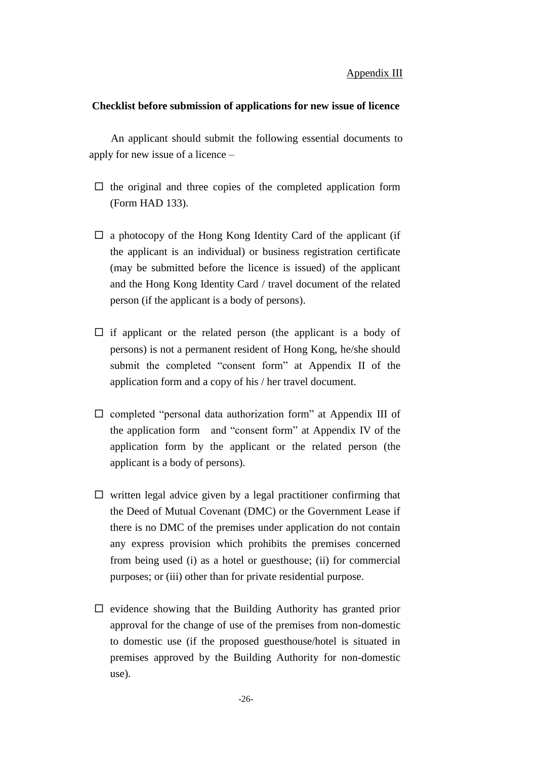### **Checklist before submission of applications for new issue of licence**

An applicant should submit the following essential documents to apply for new issue of a licence –

- $\Box$  the original and three copies of the completed application form (Form HAD 133).
- $\Box$  a photocopy of the Hong Kong Identity Card of the applicant (if the applicant is an individual) or business registration certificate (may be submitted before the licence is issued) of the applicant and the Hong Kong Identity Card / travel document of the related person (if the applicant is a body of persons).
- $\Box$  if applicant or the related person (the applicant is a body of persons) is not a permanent resident of Hong Kong, he/she should submit the completed "consent form" at Appendix II of the application form and a copy of his / her travel document.
- $\square$  completed "personal data authorization form" at Appendix III of the application form and "consent form" at Appendix IV of the application form by the applicant or the related person (the applicant is a body of persons).
- $\Box$  written legal advice given by a legal practitioner confirming that the Deed of Mutual Covenant (DMC) or the Government Lease if there is no DMC of the premises under application do not contain any express provision which prohibits the premises concerned from being used (i) as a hotel or guesthouse; (ii) for commercial purposes; or (iii) other than for private residential purpose.
- $\Box$  evidence showing that the Building Authority has granted prior approval for the change of use of the premises from non-domestic to domestic use (if the proposed guesthouse/hotel is situated in premises approved by the Building Authority for non-domestic use).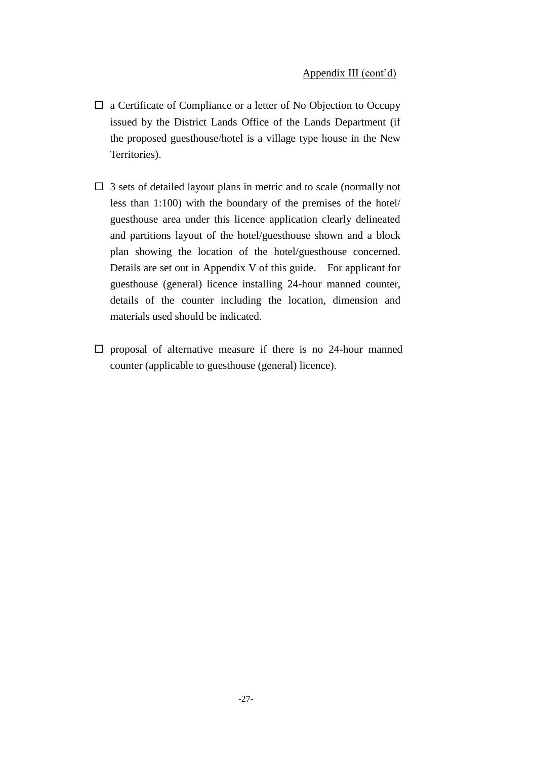- $\Box$  a Certificate of Compliance or a letter of No Objection to Occupy issued by the District Lands Office of the Lands Department (if the proposed guesthouse/hotel is a village type house in the New Territories).
- $\Box$  3 sets of detailed layout plans in metric and to scale (normally not less than 1:100) with the boundary of the premises of the hotel/ guesthouse area under this licence application clearly delineated and partitions layout of the hotel/guesthouse shown and a block plan showing the location of the hotel/guesthouse concerned. Details are set out in Appendix V of this guide. For applicant for guesthouse (general) licence installing 24-hour manned counter, details of the counter including the location, dimension and materials used should be indicated.
- $\square$  proposal of alternative measure if there is no 24-hour manned counter (applicable to guesthouse (general) licence).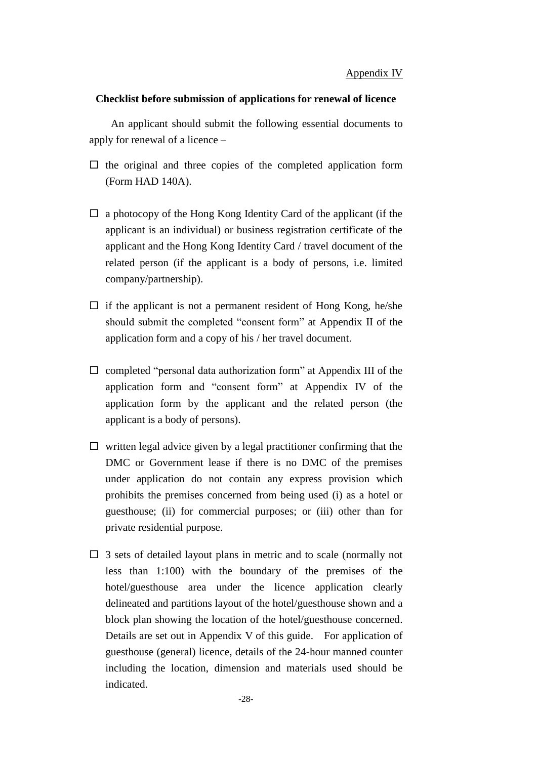### **Checklist before submission of applications for renewal of licence**

An applicant should submit the following essential documents to apply for renewal of a licence –

- $\Box$  the original and three copies of the completed application form (Form HAD 140A).
- $\Box$  a photocopy of the Hong Kong Identity Card of the applicant (if the applicant is an individual) or business registration certificate of the applicant and the Hong Kong Identity Card / travel document of the related person (if the applicant is a body of persons, i.e. limited company/partnership).
- $\Box$  if the applicant is not a permanent resident of Hong Kong, he/she should submit the completed "consent form" at Appendix II of the application form and a copy of his / her travel document.
- $\Box$  completed "personal data authorization form" at Appendix III of the application form and "consent form" at Appendix IV of the application form by the applicant and the related person (the applicant is a body of persons).
- $\Box$  written legal advice given by a legal practitioner confirming that the DMC or Government lease if there is no DMC of the premises under application do not contain any express provision which prohibits the premises concerned from being used (i) as a hotel or guesthouse; (ii) for commercial purposes; or (iii) other than for private residential purpose.
- $\Box$  3 sets of detailed layout plans in metric and to scale (normally not less than 1:100) with the boundary of the premises of the hotel/guesthouse area under the licence application clearly delineated and partitions layout of the hotel/guesthouse shown and a block plan showing the location of the hotel/guesthouse concerned. Details are set out in Appendix V of this guide. For application of guesthouse (general) licence, details of the 24-hour manned counter including the location, dimension and materials used should be indicated.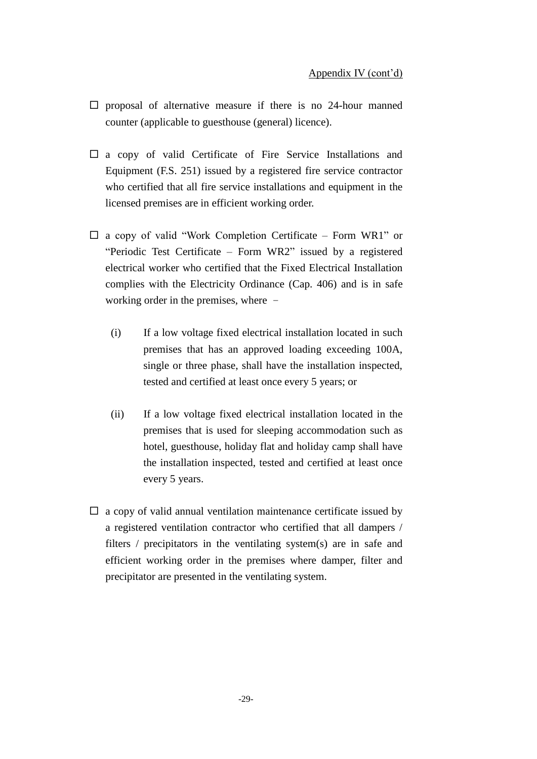- $\square$  proposal of alternative measure if there is no 24-hour manned counter (applicable to guesthouse (general) licence).
- $\Box$  a copy of valid Certificate of Fire Service Installations and Equipment (F.S. 251) issued by a registered fire service contractor who certified that all fire service installations and equipment in the licensed premises are in efficient working order.
- $\square$  a copy of valid "Work Completion Certificate Form WR1" or "Periodic Test Certificate – Form WR2" issued by a registered electrical worker who certified that the Fixed Electrical Installation complies with the Electricity Ordinance (Cap. 406) and is in safe working order in the premises, where –
	- (i) If a low voltage fixed electrical installation located in such premises that has an approved loading exceeding 100A, single or three phase, shall have the installation inspected, tested and certified at least once every 5 years; or
	- (ii) If a low voltage fixed electrical installation located in the premises that is used for sleeping accommodation such as hotel, guesthouse, holiday flat and holiday camp shall have the installation inspected, tested and certified at least once every 5 years.
- $\Box$  a copy of valid annual ventilation maintenance certificate issued by a registered ventilation contractor who certified that all dampers / filters / precipitators in the ventilating system(s) are in safe and efficient working order in the premises where damper, filter and precipitator are presented in the ventilating system.